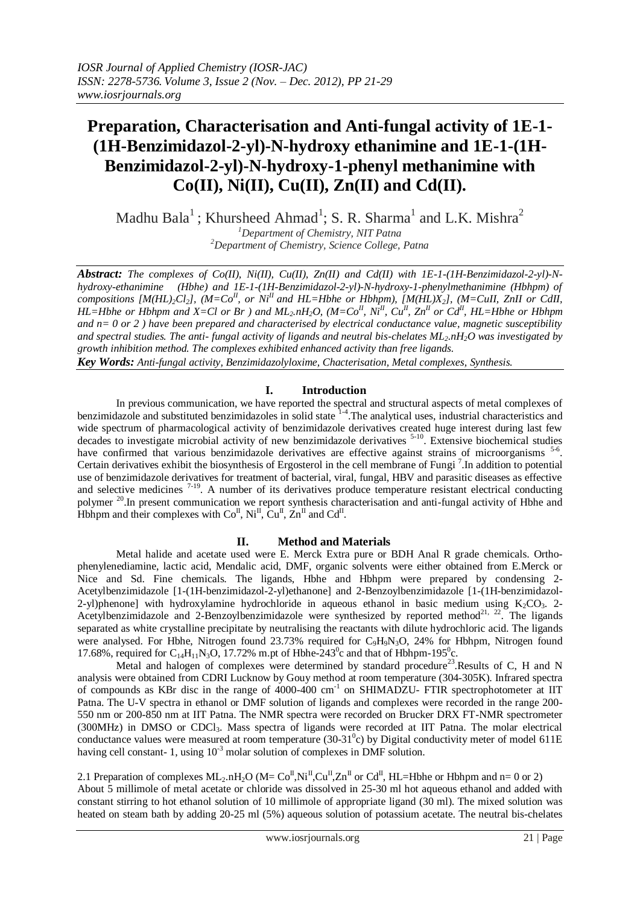# **Preparation, Characterisation and Anti-fungal activity of 1E-1- (1H-Benzimidazol-2-yl)-N-hydroxy ethanimine and 1E-1-(1H-Benzimidazol-2-yl)-N-hydroxy-1-phenyl methanimine with Co(II), Ni(II), Cu(II), Zn(II) and Cd(II).**

Madhu Bala<sup>1</sup>; Khursheed Ahmad<sup>1</sup>; S. R. Sharma<sup>1</sup> and L.K. Mishra<sup>2</sup> *<sup>1</sup>Department of Chemistry, NIT Patna <sup>2</sup>Department of Chemistry, Science College, Patna*

*Abstract: The complexes of Co(II), Ni(II), Cu(II), Zn(II) and Cd(II) with 1E-1-(1H-Benzimidazol-2-yl)-Nhydroxy-ethanimine (Hbhe) and 1E-1-(1H-Benzimidazol-2-yl)-N-hydroxy-1-phenylmethanimine (Hbhpm) of compositions [M(HL)2Cl2], (M=CoII, or NiII and HL=Hbhe or Hbhpm), [M(HL)X2], (M=CuII, ZnII or CdII, HL*=*Hbhe or Hbhpm and X=Cl or Br ) and ML<sub>2</sub>.nH*<sub>2</sub>*O*, (M=Co<sup>*II*</sup>, Ni<sup>*II*</sup>, Cu<sup>*II*</sup>, Zn<sup>*II*</sup> or Cd<sup>*II*</sup>, HL=Hbhe or Hbhpm *and n= 0 or 2 ) have been prepared and characterised by electrical conductance value, magnetic susceptibility and spectral studies. The anti- fungal activity of ligands and neutral bis-chelates ML2.nH2O was investigated by growth inhibition method. The complexes exhibited enhanced activity than free ligands. Key Words: Anti-fungal activity, Benzimidazolyloxime, Chacterisation, Metal complexes, Synthesis.*

## **I. Introduction**

In previous communication, we have reported the spectral and structural aspects of metal complexes of benzimidazole and substituted benzimidazoles in solid state  $14$ . The analytical uses, industrial characteristics and wide spectrum of pharmacological activity of benzimidazole derivatives created huge interest during last few decades to investigate microbial activity of new benzimidazole derivatives <sup>5-10</sup>. Extensive biochemical studies have confirmed that various benzimidazole derivatives are effective against strains of microorganisms <sup>5-6</sup>. Certain derivatives exhibit the biosynthesis of Ergosterol in the cell membrane of Fungi<sup>7</sup>. In addition to potential use of benzimidazole derivatives for treatment of bacterial, viral, fungal, HBV and parasitic diseases as effective and selective medicines  $7-19$ . A number of its derivatives produce temperature resistant electrical conducting polymer <sup>20</sup>.In present communication we report synthesis characterisation and anti-fungal activity of Hbhe and Hbhpm and their complexes with  $Co^{\text{II}}$ ,  $Ni^{\text{II}}$ ,  $Cu^{\text{II}}$ ,  $Zn^{\text{II}}$  and  $Cd^{\text{II}}$ .

# **II. Method and Materials**

Metal halide and acetate used were E. Merck Extra pure or BDH Anal R grade chemicals. Orthophenylenediamine, lactic acid, Mendalic acid, DMF, organic solvents were either obtained from E.Merck or Nice and Sd. Fine chemicals. The ligands, Hbhe and Hbhpm were prepared by condensing 2- Acetylbenzimidazole [1-(1H-benzimidazol-2-yl)ethanone] and 2-Benzoylbenzimidazole [1-(1H-benzimidazol-2-yl)phenone] with hydroxylamine hydrochloride in aqueous ethanol in basic medium using  $K_2CO_3$ . 2-Acetylbenzimidazole and 2-Benzoylbenzimidazole were synthesized by reported method<sup>21, 22</sup>. The ligands separated as white crystalline precipitate by neutralising the reactants with dilute hydrochloric acid. The ligands were analysed. For Hbhe, Nitrogen found 23.73% required for C<sub>9</sub>H<sub>9</sub>N<sub>3</sub>O, 24% for Hbhpm, Nitrogen found 17.68%, required for C<sub>14</sub>H<sub>11</sub>N<sub>3</sub>O, 17.72% m.pt of Hbhe-243<sup>0</sup>c and that of Hbhpm-195<sup>0</sup>c.

Metal and halogen of complexes were determined by standard procedure<sup>23</sup>.Results of C, H and N analysis were obtained from CDRI Lucknow by Gouy method at room temperature (304-305K). Infrared spectra of compounds as KBr disc in the range of 4000-400 cm<sup>-1</sup> on SHIMADZU- FTIR spectrophotometer at IIT Patna. The U-V spectra in ethanol or DMF solution of ligands and complexes were recorded in the range 200- 550 nm or 200-850 nm at IIT Patna. The NMR spectra were recorded on Brucker DRX FT-NMR spectrometer (300MHz) in DMSO or CDCl3. Mass spectra of ligands were recorded at IIT Patna. The molar electrical conductance values were measured at room temperature  $(30-31<sup>0</sup>c)$  by Digital conductivity meter of model 611E having cell constant- 1, using  $10^{-3}$  molar solution of complexes in DMF solution.

2.1 Preparation of complexes  $ML_2.nH_2O$  ( $M=C_0^T.Ni^T.Cu^T.Zn^T$  or  $Cd^T.HL=Hbhe$  or Hbhpm and n= 0 or 2)

About 5 millimole of metal acetate or chloride was dissolved in 25-30 ml hot aqueous ethanol and added with constant stirring to hot ethanol solution of 10 millimole of appropriate ligand (30 ml). The mixed solution was heated on steam bath by adding 20-25 ml (5%) aqueous solution of potassium acetate. The neutral bis-chelates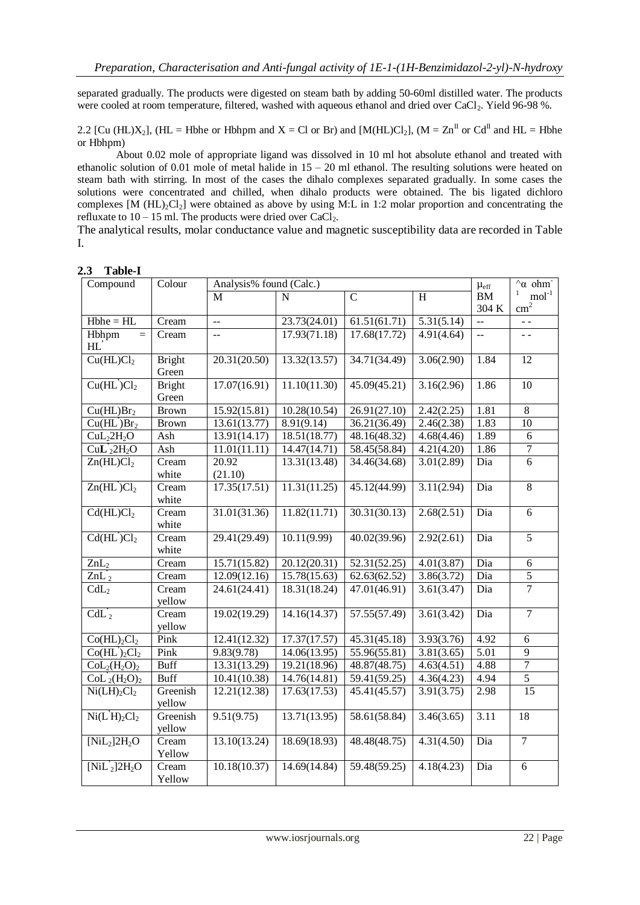separated gradually. The products were digested on steam bath by adding 50-60ml distilled water. The products were cooled at room temperature, filtered, washed with aqueous ethanol and dried over CaCl<sub>2</sub>. Yield 96-98 %.

2.2 [Cu (HL)X<sub>2</sub>], (HL = Hbhe or Hbhpm and X = Cl or Br) and [M(HL)Cl<sub>2</sub>], (M = Zn<sup>II</sup> or Cd<sup>II</sup> and HL = Hbhe or Hbhpm)

About 0.02 mole of appropriate ligand was dissolved in 10 ml hot absolute ethanol and treated with ethanolic solution of 0.01 mole of metal halide in 15 – 20 ml ethanol. The resulting solutions were heated on steam bath with stirring. In most of the cases the dihalo complexes separated gradually. In some cases the solutions were concentrated and chilled, when dihalo products were obtained. The bis ligated dichloro complexes  $[M (HL)<sub>2</sub>Cl<sub>2</sub>]$  were obtained as above by using M:L in 1:2 molar proportion and concentrating the refluxate to  $10 - 15$  ml. The products were dried over CaCl<sub>2</sub>.

The analytical results, molar conductance value and magnetic susceptibility data are recorded in Table I.

| Compound                                  | Colour              | Analysis% found (Calc.) |              |                           |                |                   | $\alpha$ ohm            |
|-------------------------------------------|---------------------|-------------------------|--------------|---------------------------|----------------|-------------------|-------------------------|
|                                           |                     | M                       | N            | $\overline{C}$            | $\overline{H}$ | <b>BM</b>         | $\mathbf{1}$<br>$mol-1$ |
|                                           |                     |                         |              |                           |                | 304 K             | $\text{cm}^2$           |
| $Hbhe = HL$                               | Cream               | 44                      | 23.73(24.01) | 61.51(61.71)              | 5.31(5.14)     | $\mathbb{L}^2$    | $\sim$ $\sim$           |
| Hbhpm<br>$=$                              | Cream               | 44                      | 17.93(71.18) | 17.68(17.72)              | 4.91(4.64)     | $\mathbf{L}$      | $\sim$ $\sim$           |
| HL                                        |                     |                         |              |                           |                |                   |                         |
| Cu(HL)Cl <sub>2</sub>                     | <b>Bright</b>       | 20.31(20.50)            | 13.32(13.57) | 34.71(34.49)              | 3.06(2.90)     | 1.84              | 12                      |
|                                           | Green               |                         |              |                           |                |                   |                         |
| Cu(HL)Cl <sub>2</sub>                     | <b>Bright</b>       | 17.07(16.91)            | 11.10(11.30) | 45.09(45.21)              | 3.16(2.96)     | 1.86              | $\overline{10}$         |
|                                           | Green               |                         |              |                           |                |                   |                         |
| Cu(HL)Br <sub>2</sub>                     | <b>Brown</b>        | 15.92(15.81)            | 10.28(10.54) | 26.91(27.10)              | 2.42(2.25)     | 1.81              | $\,8\,$                 |
| Cu(HL)Br <sub>2</sub>                     | <b>Brown</b>        | 13.61(13.77)            | 8.91(9.14)   | 36.21(36.49)              | 2.46(2.38)     | 1.83              | 10                      |
| CuL <sub>2</sub> 2H <sub>2</sub> O        | Ash                 | 13.91(14.17)            | 18.51(18.77) | 48.16(48.32)              | 4.68(4.46)     | 1.89              | 6                       |
| $CuL'_{2}2H_{2}O$                         | Ash                 | 11.01(11.11)            | 14.47(14.71) | 58.45(58.84)              | 4.21(4.20)     | 1.86              | $\overline{7}$          |
| Zn(HL)Cl <sub>2</sub>                     | Cream               | 20.92                   | 13.31(13.48) | 34.46(34.68)              | 3.01(2.89)     | Dia               | $\overline{6}$          |
|                                           | white               | (21.10)                 |              |                           |                |                   |                         |
| Zn(HL)Cl <sub>2</sub>                     | Cream               | 17.35(17.51)            | 11.31(11.25) | 45.12(44.99)              | 3.11(2.94)     | Dia               | $\overline{8}$          |
|                                           | white               |                         |              |                           |                |                   |                         |
| $\overline{Cd(HL)Cl}_{2}$                 | Cream               | 31.01(31.36)            | 11.82(11.71) | 30.31(30.13)              | 2.68(2.51)     | Dia               | 6                       |
|                                           | white               |                         |              |                           |                |                   |                         |
| $Cd(HL^{\prime})Cl_{2}$                   | Cream               | 29.41(29.49)            | 10.11(9.99)  | 40.02(39.96)              | 2.92(2.61)     | Dia               | 5                       |
|                                           | white               |                         |              |                           |                |                   |                         |
| $ZnL_2$                                   | $\overline{C}$ ream | 15.71(15.82)            | 20.12(20.31) | 52.31(52.25)              | 4.01(3.87)     | Dia               | 6                       |
| $ZnL_2$                                   | Cream               | 12.09(12.16)            | 15.78(15.63) | 62.63(62.52)              | 3.86(3.72)     | Dia               | $\overline{5}$          |
| CdL <sub>2</sub>                          | Cream               | 24.61(24.41)            | 18.31(18.24) | 47.01(46.91)              | 3.61(3.47)     | Dia               | $\overline{7}$          |
|                                           | yellow              |                         |              |                           |                |                   |                         |
| $CdL'_{2}$                                | Cream               | 19.02(19.29)            | 14.16(14.37) | 57.55(57.49)              | 3.61(3.42)     | Dia               | $\overline{7}$          |
|                                           | yellow              |                         |              |                           |                |                   |                         |
| $Co(HL)_{2}Cl_{2}$                        | Pink                | 12.41(12.32)            | 17.37(17.57) | 45.31(45.18)              | 3.93(3.76)     | 4.92              | 6                       |
| Co(HL') <sub>2</sub> Cl <sub>2</sub>      | Pink                | 9.83(9.78)              | 14.06(13.95) | 55.96(55.81)              | 3.81(3.65)     | $\overline{5.01}$ | 9                       |
| $Col2(H2O)2$                              | <b>Buff</b>         | 13.31(13.29)            | 19.21(18.96) | 48.87(48.75)              | 4.63(4.51)     | 4.88              | 7                       |
| $Col2(H2O)2$                              | <b>Buff</b>         | 10.41(10.38)            | 14.76(14.81) | $\overline{59.41(59.25)}$ | 4.36(4.23)     | 4.94              | $\overline{5}$          |
| $Ni(LH)_{2}Cl_{2}$                        | Greenish            | 12.21(12.38)            | 17.63(17.53) | 45.41(45.57)              | 3.91(3.75)     | 2.98              | $\overline{15}$         |
|                                           | yellow              |                         |              |                           |                |                   |                         |
| $\overline{\text{Ni}(L^2H)_2}\text{Cl}_2$ | Greenish            | 9.51(9.75)              | 13.71(13.95) | 58.61(58.84)              | 3.46(3.65)     | 3.11              | 18                      |
|                                           | yellow              |                         |              |                           |                |                   |                         |
| $[NiL_2]2H_2O$                            | Cream               | 13.10(13.24)            | 18.69(18.93) | 48.48(48.75)              | 4.31(4.50)     | Dia               | $\overline{7}$          |
|                                           | Yellow              |                         |              |                           |                |                   |                         |
| $[NiL'_2]2H_2O$                           | Cream               | 10.18(10.37)            | 14.69(14.84) | 59.48(59.25)              | 4.18(4.23)     | Dia               | $\overline{6}$          |
|                                           | Yellow              |                         |              |                           |                |                   |                         |

**2.3 Table-I**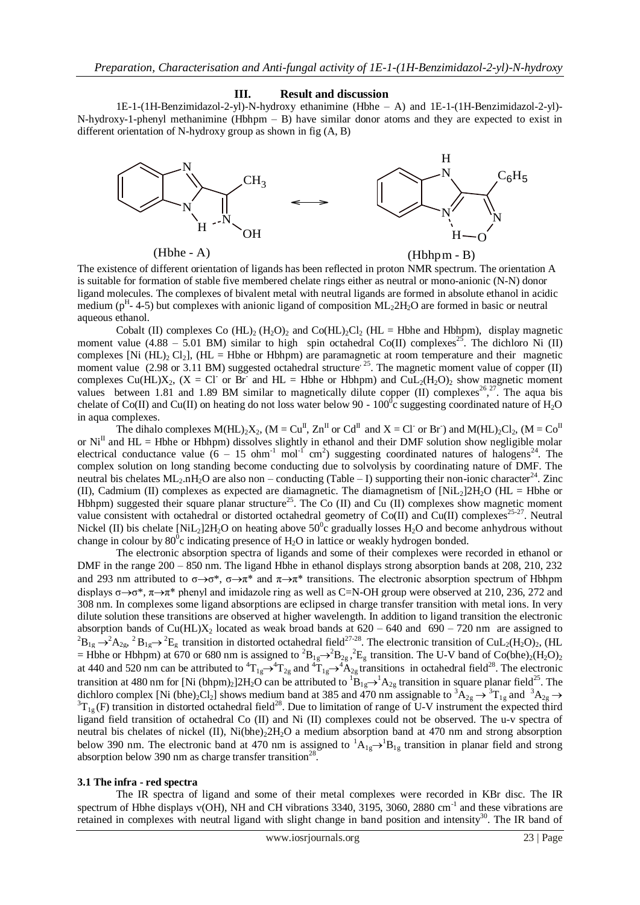#### **III. Result and discussion**

1E-1-(1H-Benzimidazol-2-yl)-N-hydroxy ethanimine (Hbhe – A) and 1E-1-(1H-Benzimidazol-2-yl)- N-hydroxy-1-phenyl methanimine (Hbhpm – B) have similar donor atoms and they are expected to exist in different orientation of N-hydroxy group as shown in fig (A, B)



The existence of different orientation of ligands has been reflected in proton NMR spectrum. The orientation A is suitable for formation of stable five membered chelate rings either as neutral or mono-anionic (N-N) donor ligand molecules. The complexes of bivalent metal with neutral ligands are formed in absolute ethanol in acidic medium ( $p<sup>H</sup>$ -4-5) but complexes with anionic ligand of composition ML<sub>2</sub>2H<sub>2</sub>O are formed in basic or neutral aqueous ethanol.

Cobalt (II) complexes Co (HL)<sub>2</sub> (H<sub>2</sub>O)<sub>2</sub> and Co(HL)<sub>2</sub>Cl<sub>2</sub> (HL = Hbhe and Hbhpm), display magnetic moment value (4.88 – 5.01 BM) similar to high spin octahedral Co(II) complexes<sup>25</sup>. The dichloro Ni (II) complexes [Ni  $(HL)_{2}$  Cl<sub>2</sub>],  $(HL = Hb$ he or Hbhpm) are paramagnetic at room temperature and their magnetic moment value  $(2.98 \text{ or } 3.11 \text{ BM})$  suggested octahedral structure<sup>, 25</sup>. The magnetic moment value of copper (II) complexes Cu(HL)X<sub>2</sub>, (X = Cl or Br and HL = Hbhe or Hbhpm) and CuL<sub>2</sub>(H<sub>2</sub>O)<sub>2</sub> show magnetic moment values between 1.81 and 1.89 BM similar to magnetically dilute copper (II) complexes<sup>26, 27</sup>. The aqua bis chelate of Co(II) and Cu(II) on heating do not loss water below 90 -  $100^{\circ}$ c suggesting coordinated nature of H<sub>2</sub>O in aqua complexes.

The dihalo complexes  $M(HL)_{2}X_{2}$ ,  $(M = Cu^{II}, Zn^{II}$  or  $Cd^{II}$  and  $X = Cl$  or Br) and  $M(HL)_{2}Cl_{2}$ ,  $(M = Co^{II}, Sn^{II})$ or  $Ni<sup>II</sup>$  and HL = Hbhe or Hbhpm) dissolves slightly in ethanol and their DMF solution show negligible molar electrical conductance value  $(6 - 15 \text{ ohm}^{-1} \text{ mol}^{-1} \text{ cm}^2)$  suggesting coordinated natures of halogens<sup>24</sup>. The complex solution on long standing become conducting due to solvolysis by coordinating nature of DMF. The neutral bis chelates  $ML_2.nH_2O$  are also non – conducting (Table – I) supporting their non-ionic character<sup>24</sup>. Zinc (II), Cadmium (II) complexes as expected are diamagnetic. The diamagnetism of  $[NiL_2]2H_2O$  (HL = Hbhe or Hbhpm) suggested their square planar structure<sup>25</sup>. The Co (II) and Cu (II) complexes show magnetic moment value consistent with octahedral or distorted octahedral geometry of Co(II) and Cu(II) complexes<sup>25-27</sup>. Neutral Nickel (II) bis chelate [NiL<sub>2</sub>]2H<sub>2</sub>O on heating above 50<sup>o</sup>c gradually losses H<sub>2</sub>O and become anhydrous without change in colour by  $80^{\circ}$ c indicating presence of H<sub>2</sub>O in lattice or weakly hydrogen bonded.

The electronic absorption spectra of ligands and some of their complexes were recorded in ethanol or DMF in the range 200 – 850 nm. The ligand Hbhe in ethanol displays strong absorption bands at 208, 210, 232 and 293 nm attributed to  $\sigma \rightarrow \sigma^*$ ,  $\sigma \rightarrow \pi^*$  and  $\pi \rightarrow \pi^*$  transitions. The electronic absorption spectrum of Hbhpm displays  $\sigma \rightarrow \sigma^*$ ,  $\pi \rightarrow \pi^*$  phenyl and imidazole ring as well as C=N-OH group were observed at 210, 236, 272 and 308 nm. In complexes some ligand absorptions are eclipsed in charge transfer transition with metal ions. In very dilute solution these transitions are observed at higher wavelength. In addition to ligand transition the electronic absorption bands of Cu(HL) $X_2$  located as weak broad bands at  $620 - 640$  and  $690 - 720$  nm are assigned to  ${}^{2}B_{1g} \rightarrow {}^{2}A_{2g}$ ,  ${}^{2}B_{1g} \rightarrow {}^{2}E_{g}$  transition in distorted octahedral field<sup>27-28</sup>. The electronic transition of CuL<sub>2</sub>(H<sub>2</sub>O)<sub>2</sub>, (HL = Hbhe or Hbhpm) at 670 or 680 nm is assigned to  ${}^{2}B_{1g} \rightarrow {}^{2}B_{2g}$ ,  ${}^{2}E_{g}$  transition. The U-V band of Co(bhe)<sub>2</sub>(H<sub>2</sub>O)<sub>2</sub> at 440 and 520 nm can be attributed to  ${}^4T_{1g} \rightarrow {}^4T_{2g}$  and  ${}^4T_{1g} \rightarrow {}^4A_{2g}$  transitions in octahedral field<sup>28</sup>. The electronic transition at 480 nm for [Ni (bhpm)<sub>2</sub>]2H<sub>2</sub>O can be attributed to  ${}^{1}B_{1g} \rightarrow {}^{1}A_{2g}$  transition in square planar field<sup>25</sup>. The dichloro complex [Ni (bhe)<sub>2</sub>Cl<sub>2</sub>] shows medium band at 385 and 470 nm assignable to  ${}^{3}A_{2g} \rightarrow {}^{3}T_{1g}$  and  ${}^{3}A_{2g} \rightarrow {}^{3}T_{1g}$  and  ${}^{3}A_{2g} \rightarrow {}^{3}T_{1g}$  and  ${}^{3}A_{2g} \rightarrow {}^{3}T_{1g}$  and  ${}^{3}A_{2g} \rightarrow {}^{3}T_{1g}$  and ligand field transition of octahedral Co (II) and Ni (II) complexes could not be observed. The u-v spectra of neutral bis chelates of nickel (II), Ni(bhe)<sub>2</sub>2H<sub>2</sub>O a medium absorption band at 470 nm and strong absorption below 390 nm. The electronic band at 470 nm is assigned to  ${}^{1}A_{1g} \rightarrow {}^{1}B_{1g}$  transition in planar field and strong absorption below 390 nm as charge transfer transition<sup>28</sup>.

### **3.1 The infra - red spectra**

The IR spectra of ligand and some of their metal complexes were recorded in KBr disc. The IR spectrum of Hbhe displays  $v(OH)$ , NH and CH vibrations 3340, 3195, 3060, 2880 cm<sup>-1</sup> and these vibrations are retained in complexes with neutral ligand with slight change in band position and intensity<sup>30</sup>. The IR band of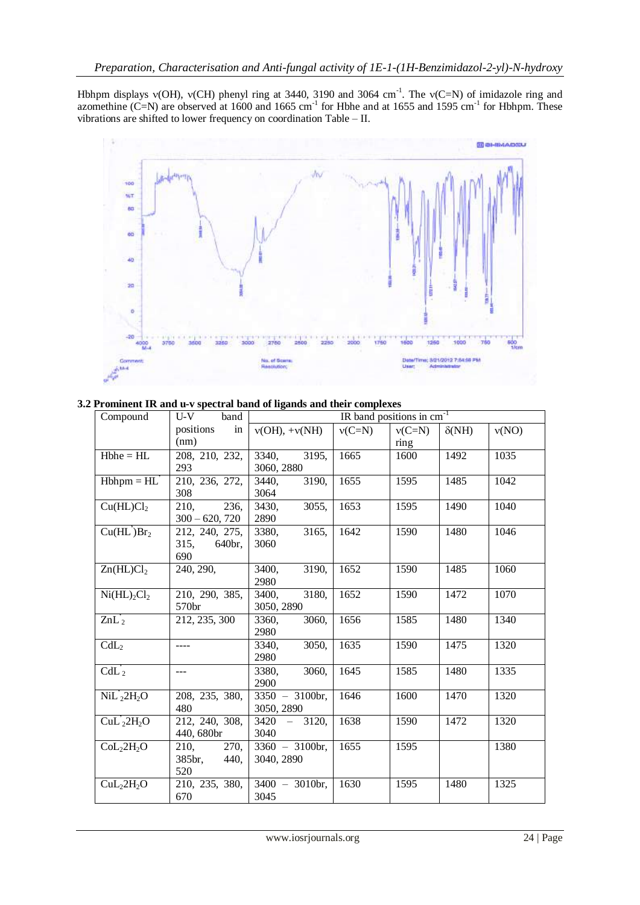Hbhpm displays  $v(OH)$ ,  $v(CH)$  phenyl ring at 3440, 3190 and 3064 cm<sup>-1</sup>. The  $v(C=N)$  of imidazole ring and azomethine  $(C=N)$  are observed at 1600 and 1665 cm<sup>-1</sup> for Hbhe and at 1655 and 1595 cm<sup>-1</sup> for Hbhpm. These vibrations are shifted to lower frequency on coordination Table – II.



**3.2 Prominent IR and u-v spectral band of ligands and their complexes** 

| Compound                            | $U-V$<br>band              | IR band positions in cm <sup>-1</sup> |          |          |              |       |  |
|-------------------------------------|----------------------------|---------------------------------------|----------|----------|--------------|-------|--|
|                                     | positions<br>in            | $v(OH)$ , + $v(NH)$                   | $v(C=N)$ | $v(C=N)$ | $\delta(NH)$ | v(NO) |  |
|                                     | (nm)                       |                                       |          | ring     |              |       |  |
| $Hbhe = HL$                         | 208, 210, 232,             | $\overline{3}195,$<br>3340,           | 1665     | 1600     | 1492         | 1035  |  |
|                                     | 293                        | 3060, 2880                            |          |          |              |       |  |
| $Hbhpm = HL'$                       | 210, 236, 272,             | 3190,<br>3440,                        | 1655     | 1595     | 1485         | 1042  |  |
|                                     | 308                        | 3064                                  |          |          |              |       |  |
| Cu(HL)Cl <sub>2</sub>               | 236,<br>210.               | 3055,<br>3430,                        | 1653     | 1595     | 1490         | 1040  |  |
|                                     | $300 - 620, 720$           | 2890                                  |          |          |              |       |  |
| Cu(HL)Br <sub>2</sub>               | 212, 240, 275,             | 3165,<br>3380,                        | 1642     | 1590     | 1480         | 1046  |  |
|                                     | 315,<br>640br,             | 3060                                  |          |          |              |       |  |
|                                     | 690                        |                                       |          |          |              |       |  |
| Zn(HL)Cl <sub>2</sub>               | 240, 290,                  | 3400,<br>3190,                        | 1652     | 1590     | 1485         | 1060  |  |
|                                     |                            | 2980                                  |          |          |              |       |  |
| Ni(HL) <sub>2</sub> Cl <sub>2</sub> | 210, 290, 385,             | 3180,<br>3400,                        | 1652     | 1590     | 1472         | 1070  |  |
|                                     | 570br                      | 3050, 2890                            |          |          |              |       |  |
| $ZnL_2$                             | 212, 235, 300              | 3060,<br>3360,                        | 1656     | 1585     | 1480         | 1340  |  |
|                                     |                            | 2980                                  |          |          |              |       |  |
| CdL <sub>2</sub>                    | ----                       | 3050,<br>3340,                        | 1635     | 1590     | 1475         | 1320  |  |
|                                     |                            | 2980                                  |          |          |              |       |  |
| $CdL'_2$                            | $\overline{a}$             | 3380,<br>3060,                        | 1645     | 1585     | 1480         | 1335  |  |
|                                     |                            | 2900                                  |          |          |              |       |  |
| $NiL'_{2}2H_{2}O$                   | 208, 235, 380,             | $\frac{1}{3350} - 3100$ br,           | 1646     | 1600     | 1470         | 1320  |  |
|                                     | 480                        | 3050, 2890                            |          |          |              |       |  |
| $CuL'_{2}2H_{2}O$                   | 212, 240, 308,             | $3420 - 3120$                         | 1638     | 1590     | 1472         | 1320  |  |
|                                     | 440, 680br                 | 3040                                  |          |          |              |       |  |
| CoL <sub>2</sub> 2H <sub>2</sub> O  | $\overline{270}$ ,<br>210, | $\frac{1}{3360} - 3100$ br,           | 1655     | 1595     |              | 1380  |  |
|                                     | 385br,<br>440,             | 3040, 2890                            |          |          |              |       |  |
|                                     | 520                        |                                       |          |          |              |       |  |
| CuL <sub>2</sub> 2H <sub>2</sub> O  | 210, 235, 380,             | $3400 - 3010$ br,                     | 1630     | 1595     | 1480         | 1325  |  |
|                                     | 670                        | 3045                                  |          |          |              |       |  |
|                                     |                            |                                       |          |          |              |       |  |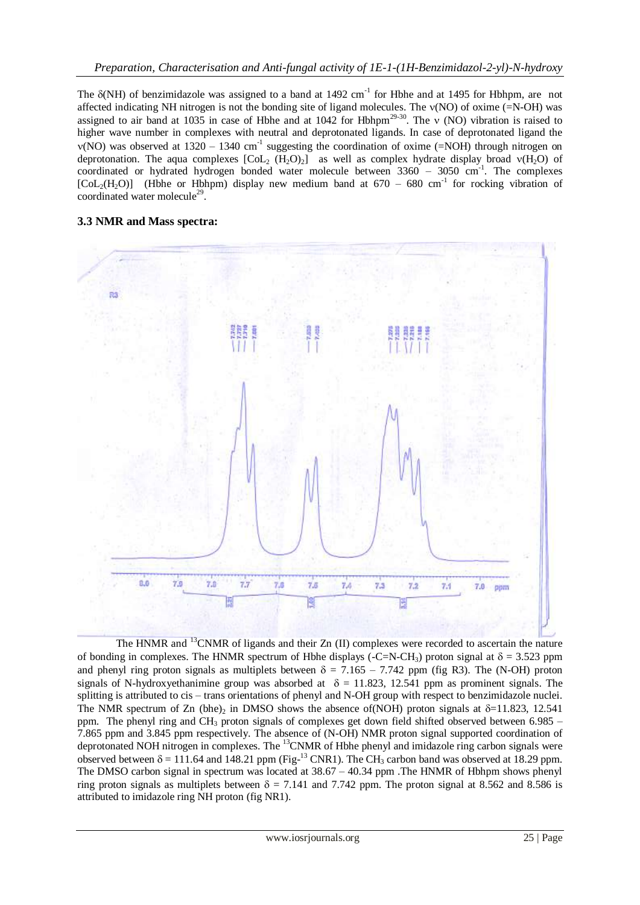The  $\delta(NH)$  of benzimidazole was assigned to a band at 1492 cm<sup>-1</sup> for Hbhe and at 1495 for Hbhpm, are not affected indicating NH nitrogen is not the bonding site of ligand molecules. The  $v(NO)$  of oxime (=N-OH) was assigned to air band at 1035 in case of Hbhe and at 1042 for Hbhpm<sup>29-30</sup>. The  $\vee$  (NO) vibration is raised to higher wave number in complexes with neutral and deprotonated ligands. In case of deprotonated ligand the  $v(NO)$  was observed at 1320 – 1340 cm<sup>-1</sup> suggesting the coordination of oxime (=NOH) through nitrogen on deprotonation. The aqua complexes  $\overline{[Col_2(H_2O)_2]}$  as well as complex hydrate display broad  $v(H_2O)$  of coordinated or hydrated hydrogen bonded water molecule between 3360 - 3050 cm<sup>-1</sup>. The complexes  $[Col_2(H_2O)]$  (Hbhe or Hbhpm) display new medium band at 670 – 680 cm<sup>-1</sup> for rocking vibration of coordinated water molecule<sup>29</sup>.

# **3.3 NMR and Mass spectra:**



The HNMR and <sup>13</sup>CNMR of ligands and their Zn (II) complexes were recorded to ascertain the nature of bonding in complexes. The HNMR spectrum of Hbhe displays (-C=N-CH<sub>3</sub>) proton signal at  $\delta = 3.523$  ppm and phenyl ring proton signals as multiplets between  $\delta = 7.165 - 7.742$  ppm (fig R3). The (N-OH) proton signals of N-hydroxyethanimine group was absorbed at  $\delta = 11.823$ , 12.541 ppm as prominent signals. The splitting is attributed to cis – trans orientations of phenyl and N-OH group with respect to benzimidazole nuclei. The NMR spectrum of Zn (bhe), in DMSO shows the absence of (NOH) proton signals at  $\delta$ =11.823, 12.541 ppm. The phenyl ring and CH<sub>3</sub> proton signals of complexes get down field shifted observed between 6.985 – 7.865 ppm and 3.845 ppm respectively. The absence of (N-OH) NMR proton signal supported coordination of deprotonated NOH nitrogen in complexes. The <sup>13</sup>CNMR of Hbhe phenyl and imidazole ring carbon signals were observed between  $\delta = 111.64$  and 148.21 ppm (Fig-<sup>13</sup> CNR1). The CH<sub>3</sub> carbon band was observed at 18.29 ppm. The DMSO carbon signal in spectrum was located at 38.67 – 40.34 ppm .The HNMR of Hbhpm shows phenyl ring proton signals as multiplets between  $\delta = 7.141$  and 7.742 ppm. The proton signal at 8.562 and 8.586 is attributed to imidazole ring NH proton (fig NR1).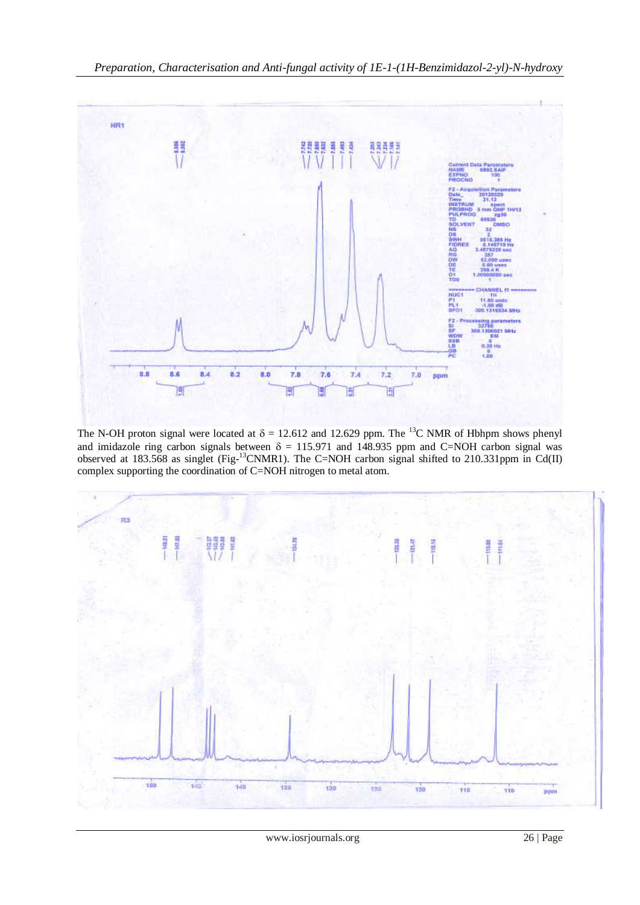

The N-OH proton signal were located at  $\delta = 12.612$  and 12.629 ppm. The <sup>13</sup>C NMR of Hbhpm shows phenyl and imidazole ring carbon signals between  $\delta = 115.971$  and 148.935 ppm and C=NOH carbon signal was observed at 183.568 as singlet (Fig- $^{13}$ CNMR1). The C=NOH carbon signal shifted to 210.331ppm in Cd(II) complex supporting the coordination of C=NOH nitrogen to metal atom.

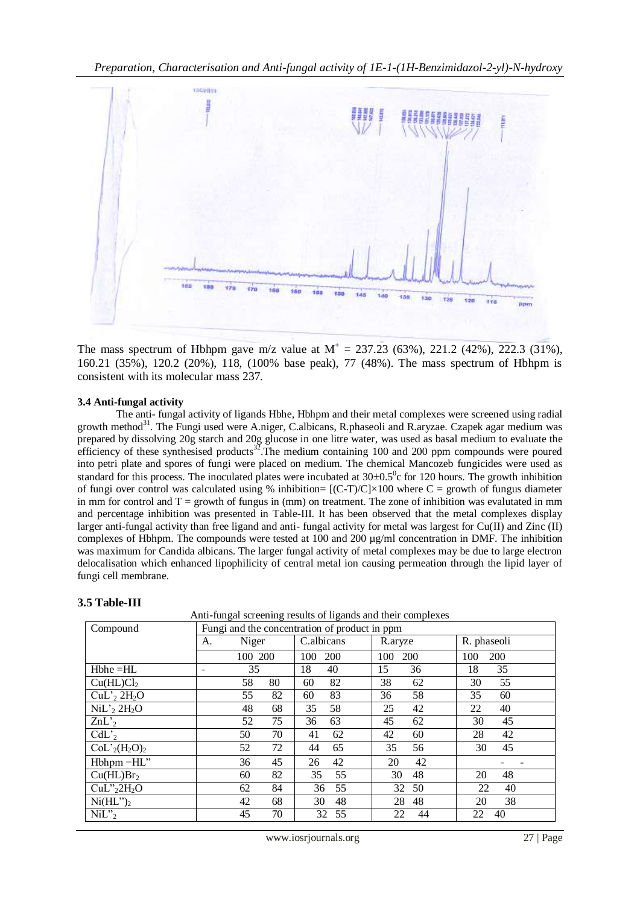

The mass spectrum of Hbhpm gave m/z value at  $M^+ = 237.23$  (63%), 221.2 (42%), 222.3 (31%), 160.21 (35%), 120.2 (20%), 118, (100% base peak), 77 (48%). The mass spectrum of Hbhpm is consistent with its molecular mass 237.

## **3.4 Anti-fungal activity**

The anti- fungal activity of ligands Hbhe, Hbhpm and their metal complexes were screened using radial growth method<sup>31</sup>. The Fungi used were A.niger, C.albicans, R.phaseoli and R.aryzae. Czapek agar medium was prepared by dissolving 20g starch and 20g glucose in one litre water, was used as basal medium to evaluate the efficiency of these synthesised products<sup>32</sup>. The medium containing 100 and 200 ppm compounds were poured into petri plate and spores of fungi were placed on medium. The chemical Mancozeb fungicides were used as standard for this process. The inoculated plates were incubated at  $30\pm0.5^{\circ}$ c for 120 hours. The growth inhibition of fungi over control was calculated using % inhibition=  $[(C-T)/C] \times 100$  where C = growth of fungus diameter in mm for control and  $T =$  growth of fungus in (mm) on treatment. The zone of inhibition was evalutated in mm and percentage inhibition was presented in Table-III. It has been observed that the metal complexes display larger anti-fungal activity than free ligand and anti- fungal activity for metal was largest for Cu(II) and Zinc (II) complexes of Hbhpm. The compounds were tested at 100 and 200 µg/ml concentration in DMF. The inhibition was maximum for Candida albicans. The larger fungal activity of metal complexes may be due to large electron delocalisation which enhanced lipophilicity of central metal ion causing permeation through the lipid layer of fungi cell membrane.

Anti-fungal screening results of ligands and their complexes

| Compound                            | Fungi and the concentration of product in ppm |          |            |                   |             |  |
|-------------------------------------|-----------------------------------------------|----------|------------|-------------------|-------------|--|
|                                     | Niger<br>A.                                   |          | C.albicans | R.aryze           | R. phaseoli |  |
|                                     |                                               | 100 200  | 200<br>100 | <b>200</b><br>100 | 200<br>100  |  |
| $Hbhe = HL$                         |                                               | 35       | 18<br>40   | 15<br>36          | 18<br>35    |  |
| Cu(HL)Cl <sub>2</sub>               |                                               | 58<br>80 | 82<br>60   | 38<br>62          | 55<br>30    |  |
| $CuL'$ <sub>2</sub> $2H_2O$         |                                               | 82<br>55 | 83<br>60   | 36<br>58          | 35<br>60    |  |
| $NiL'$ <sub>2</sub> $2H_2O$         |                                               | 48<br>68 | 58<br>35   | 42<br>25          | 22<br>40    |  |
| $ZnL'_{2}$                          |                                               | 75<br>52 | 63<br>36   | 45<br>62          | 30<br>45    |  |
| $CdL'_{2}$                          | 50                                            | 70       | 41<br>62   | 42<br>60          | 28<br>42    |  |
| $CoL'_{2}(H_{2}O)_{2}$              | 52                                            | 72       | 44<br>65   | 35<br>56          | 45<br>30    |  |
| Hbhpm = HL"                         | 36                                            | 45       | 42<br>26   | 42<br>20          |             |  |
| Cu(HL)Br <sub>2</sub>               | 60                                            | 82       | 35<br>55   | 30<br>48          | 20<br>48    |  |
| CuL" <sub>2</sub> 2H <sub>2</sub> O | 62                                            | 84       | 55<br>36   | 32<br>50          | 22<br>40    |  |
| $Ni(HL")_2$                         | 42                                            | 68       | 48<br>30   | 28<br>48          | 38<br>20    |  |
| $NiL$ <sup>2</sup>                  | 45                                            | 70       | 55<br>32   | 22<br>44          | 22<br>40    |  |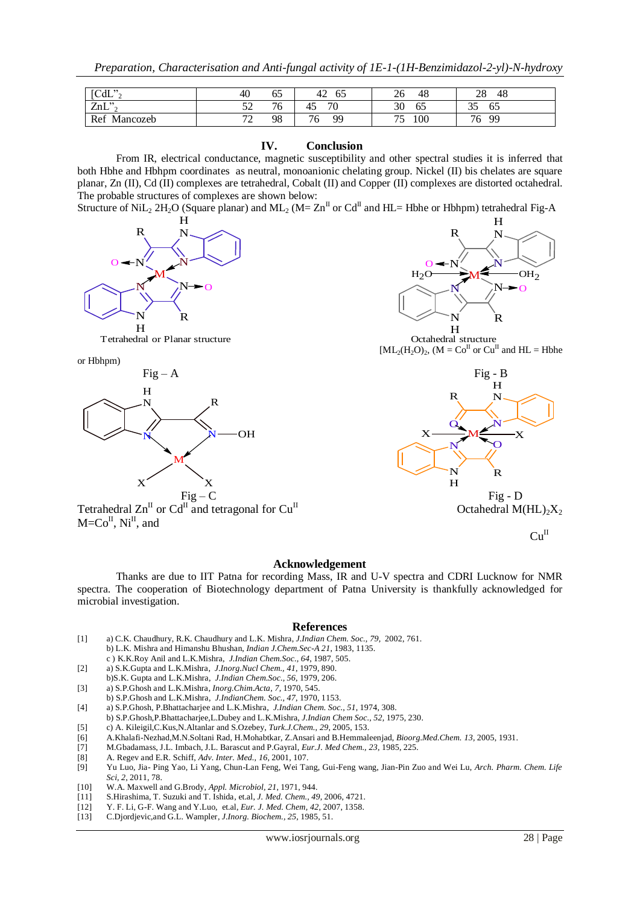| [CdL"                   | 40                                       | --<br>65 | $\sim$<br>62<br>44 | 48<br>26       | ററ<br>48<br>28       |
|-------------------------|------------------------------------------|----------|--------------------|----------------|----------------------|
| $7nI$ "<br><i>L</i> IIL | $\epsilon$<br>ັ້                         | 76<br>J. | 70<br>43           | --<br>30<br>62 | 25<br>- -<br>65<br>ັ |
| Ref<br>Mancozeb         | $\mathbf{a}$<br>$\overline{\phantom{0}}$ | 98       | 99<br>76           | 100<br>--<br>J | 99<br>76             |

#### **IV. Conclusion**

From IR, electrical conductance, magnetic susceptibility and other spectral studies it is inferred that both Hbhe and Hbhpm coordinates as neutral, monoanionic chelating group. Nickel (II) bis chelates are square planar, Zn (II), Cd (II) complexes are tetrahedral, Cobalt (II) and Copper (II) complexes are distorted octahedral. The probable structures of complexes are shown below:

Structure of NiL<sub>2</sub> 2H<sub>2</sub>O (Square planar) and ML<sub>2</sub> (M= Zn<sup>II</sup> or Cd<sup>II</sup> and HL= Hbhe or Hbhpm) tetrahedral Fig-A



Tetrahedral or Planar structure

or Hbhpm)





 $[ML_2(H_2O)_2$ ,  $(M = Co<sup>H</sup>$  or  $Cu<sup>H</sup>$  and  $HL = Hbhe$ 



 $Cu<sup>H</sup>$ 

#### **Acknowledgement**

Thanks are due to IIT Patna for recording Mass, IR and U-V spectra and CDRI Lucknow for NMR spectra. The cooperation of Biotechnology department of Patna University is thankfully acknowledged for microbial investigation.

#### **References**

- [1] a) C.K. Chaudhury, R.K. Chaudhury and L.K. Mishra, *J.Indian Chem. Soc., 79,* 2002, 761. b) L.K. Mishra and Himanshu Bhushan, *Indian J.Chem.Sec-A 21*, 1983, 1135.
- c ) K.K.Roy Anil and L.K.Mishra, *J.Indian Chem.Soc., 64*, 1987, 505.
- [2] a) S.K.Gupta and L.K.Mishra, *J.Inorg.Nucl Chem., 41*, 1979, 890. b)S.K. Gupta and L.K.Mishra, *J.Indian Chem.Soc., 56*, 1979, 206.
- [3] a) S.P.Ghosh and L.K.Mishra, *Inorg.Chim.Acta, 7,* 1970, 545.
- b) S.P.Ghosh and L.K.Mishra, *J.IndianChem. Soc., 47*, 1970, 1153.
- [4] a) S.P.Ghosh, P.Bhattacharjee and L.K.Mishra, *J.Indian Chem. Soc.*, *51*, 1974, 308.
- b) S.P.Ghosh,P.Bhattacharjee,L.Dubey and L.K.Mishra, *J.Indian Chem Soc., 52,* 1975, 230.
- [5] c) A. Kileigil,C.Kus,N.Altanlar and S.Ozebey, *Turk.J.Chem., 29*, 2005, 153.
- [6] A.Khalafi-Nezhad,M.N.Soltani Rad, H.Mohabtkar, Z.Ansari and B.Hemmaleenjad, *Bioorg.Med.Chem. 13,* 2005, 1931.
- [7] M.Gbadamass, J.L. Imbach, J.L. Barascut and P.Gayral, *Eur.J. Med Chem., 23*, 1985, 225.
- [8] A. Regev and E.R. Schiff, *Adv. Inter. Med., 16,* 2001, 107.
- [9] Yu Luo, Jia- Ping Yao, Li Yang, Chun-Lan Feng, Wei Tang, Gui-Feng wang, Jian-Pin Zuo and Wei Lu, *Arch. Pharm. Chem. Life Sci, 2*, 2011, 78.
- [10] W.A. Maxwell and G.Brody, *Appl. Microbiol, 21*, 1971, 944.
- [11] S.Hirashima, T. Suzuki and T. Ishida, et.al, *J. Med. Chem., 49,* 2006, 4721.
- [12] Y. F. Li, G-F. Wang and Y.Luo, et.al, *Eur. J. Med. Chem, 42*, 2007, 1358.
- [13] C.Djordjevic,and G.L. Wampler, *J.Inorg. Biochem., 25*, 1985, 51.